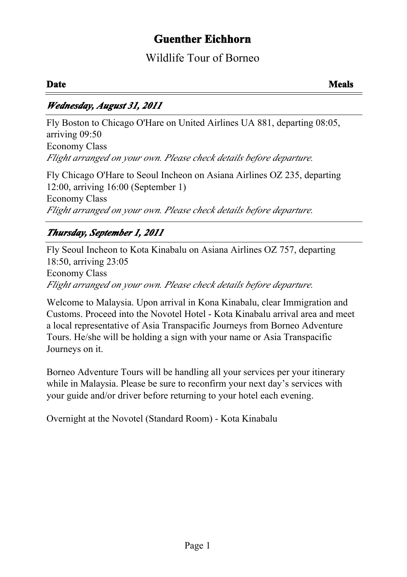# **Guenther Eichhorn**

# Wildlife Tour of Borneo

### *Wednesday, August 31, 2011*

Fly Boston to Chicago O'Hare on United Airlines UA 881, departing 08:05, arriving 09:50 Economy Class *Flight arranged on your own. Please check details before departure.*

Fly Chicago O'Hare to Seoul Incheon on Asiana Airlines OZ 235, departing 12:00, arriving 16:00 (September 1) Economy Class *Flight arranged on your own. Please check details before departure.*

# *Thursday, September 1, 2011*

Fly Seoul Incheon to Kota Kinabalu on Asiana Airlines OZ 757, departing 18:50, arriving 23:05 Economy Class *Flight arranged on your own. Please check details before departure.*

Welcome to Malaysia. Upon arrival in Kona Kinabalu, clear Immigration and Customs. Proceed into the Novotel Hotel - Kota Kinabalu arrival area and meet a local representative of Asia Transpacific Journeys from Borneo Adventure Tours. He/she will be holding a sign with your name or Asia Transpacific Journeys on it.

Borneo Adventure Tours will be handling all your services per your itinerary while in Malaysia. Please be sure to reconfirm your next day's services with your guide and/or driver before returning to your hotel each evening.

Overnight at the Novotel (Standard Room) - Kota Kinabalu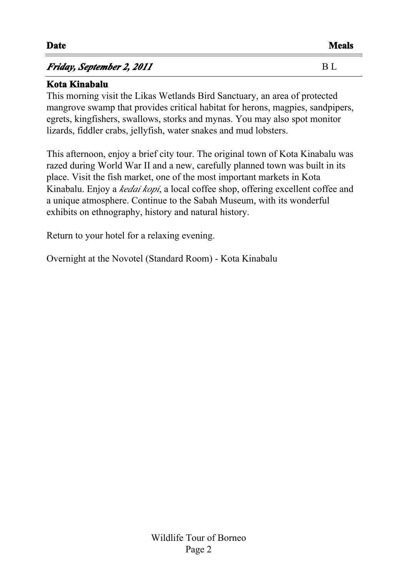### *Friday, September 2, 2011* B L

#### **Kota Kinabalu**

This morning visit the Likas Wetlands Bird Sanctuary, an area of protected mangrove swamp that provides critical habitat for herons, magpies, sandpipers, egrets, kingfishers, swallows, storks and mynas. You may also spot monitor lizards, fiddler crabs, jellyfish, water snakes and mud lobsters.

This afternoon, enjoy a brief city tour. The original town of Kota Kinabalu was razed during World War II and a new, carefully planned town was built in its place. Visit the fish market, one of the most important markets in Kota Kinabalu. Enjoy a *kedai kopi*, a local coffee shop, offering excellent coffee and a unique atmosphere. Continue to the Sabah Museum, with its wonderful exhibits on ethnography, history and natural history.

Return to your hotel for a relaxing evening.

Overnight at the Novotel (Standard Room) - Kota Kinabalu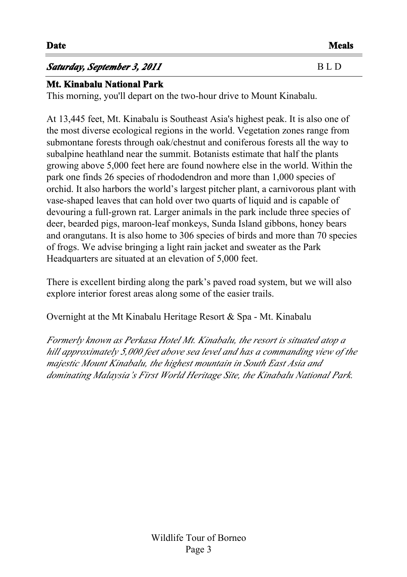# **Saturday, September 3, 2011** B L D

#### **Mt. Kinabalu National Park**

This morning, you'll depart on the two-hour drive to Mount Kinabalu.

At 13,445 feet, Mt. Kinabalu is Southeast Asia's highest peak. It is also one of the most diverse ecological regions in the world. Vegetation zones range from submontane forests through oak/chestnut and coniferous forests all the way to subalpine heathland near the summit. Botanists estimate that half the plants growing above 5,000 feet here are found nowhere else in the world. Within the park one finds 26 species of rhododendron and more than 1,000 species of orchid. It also harbors the world's largest pitcher plant, a carnivorous plant with vase-shaped leaves that can hold over two quarts of liquid and is capable of devouring a full-grown rat. Larger animals in the park include three species of deer, bearded pigs, maroon-leaf monkeys, Sunda Island gibbons, honey bears and orangutans. It is also home to 306 species of birds and more than 70 species of frogs. We advise bringing a light rain jacket and sweater as the Park Headquarters are situated at an elevation of 5,000 feet.

There is excellent birding along the park's paved road system, but we will also explore interior forest areas along some of the easier trails.

Overnight at the Mt Kinabalu Heritage Resort & Spa - Mt. Kinabalu

*Formerly known as Perkasa Hotel Mt. Kinabalu, the resort is situated atop a hill approximately 5,000 feet above sea level and has a commanding view of the majestic Mount Kinabalu, the highest mountain in South East Asia and dominating Malaysia's First World Heritage Site, the Kinabalu National Park.*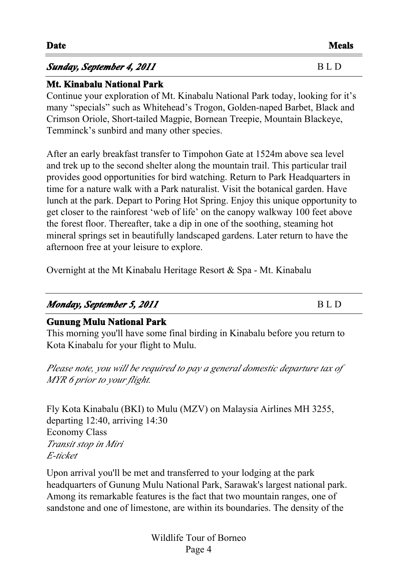| Sunday, September 4, 2011 | B L D |
|---------------------------|-------|
|                           |       |

#### **Mt. Kinabalu National Park**

Continue your exploration of Mt. Kinabalu National Park today, looking for it's many "specials" such as Whitehead's Trogon, Golden-naped Barbet, Black and Crimson Oriole, Short-tailed Magpie, Bornean Treepie, Mountain Blackeye, Temminck's sunbird and many other species.

After an early breakfast transfer to Timpohon Gate at 1524m above sea level and trek up to the second shelter along the mountain trail. This particular trail provides good opportunities for bird watching. Return to Park Headquarters in time for a nature walk with a Park naturalist. Visit the botanical garden. Have lunch at the park. Depart to Poring Hot Spring. Enjoy this unique opportunity to get closer to the rainforest 'web of life' on the canopy walkway 100 feet above the forest floor. Thereafter, take a dip in one of the soothing, steaming hot mineral springs set in beautifully landscaped gardens. Later return to have the afternoon free at your leisure to explore.

Overnight at the Mt Kinabalu Heritage Resort & Spa - Mt. Kinabalu

# *Monday, September 5, 2011* BLD

#### **Gunung Mulu National Park**

This morning you'll have some final birding in Kinabalu before you return to Kota Kinabalu for your flight to Mulu.

*Please note, you will be required to pay a general domestic departure tax of MYR 6 prior to your flight.*

Fly Kota Kinabalu (BKI) to Mulu (MZV) on Malaysia Airlines MH 3255, departing 12:40, arriving 14:30 Economy Class *Transit stop in Miri E-ticket*

Upon arrival you'll be met and transferred to your lodging at the park headquarters of Gunung Mulu National Park, Sarawak's largest national park. Among its remarkable features is the fact that two mountain ranges, one of sandstone and one of limestone, are within its boundaries. The density of the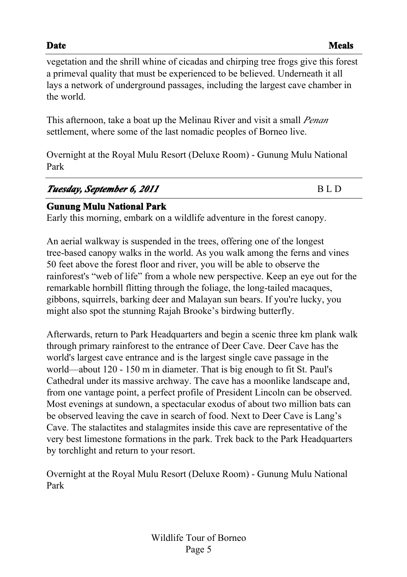vegetation and the shrill whine of cicadas and chirping tree frogs give this forest a primeval quality that must be experienced to be believed. Underneath it all lays a network of underground passages, including the largest cave chamber in the world.

This afternoon, take a boat up the Melinau River and visit a small *Penan* settlement, where some of the last nomadic peoples of Borneo live.

Overnight at the Royal Mulu Resort (Deluxe Room) - Gunung Mulu National Park

| Tuesday, September 6, 2011 | BLD. |
|----------------------------|------|
|                            |      |

#### **Gunung Mulu National Park**

Early this morning, embark on a wildlife adventure in the forest canopy.

An aerial walkway is suspended in the trees, offering one of the longest tree-based canopy walks in the world. As you walk among the ferns and vines 50 feet above the forest floor and river, you will be able to observe the rainforest's "web of life" from a whole new perspective. Keep an eye out for the remarkable hornbill flitting through the foliage, the long-tailed macaques, gibbons, squirrels, barking deer and Malayan sun bears. If you're lucky, you might also spot the stunning Rajah Brooke's birdwing butterfly.

Afterwards, return to Park Headquarters and begin a scenic three km plank walk through primary rainforest to the entrance of Deer Cave. Deer Cave has the world's largest cave entrance and is the largest single cave passage in the world—about 120 - 150 m in diameter. That is big enough to fit St. Paul's Cathedral under its massive archway. The cave has a moonlike landscape and, from one vantage point, a perfect profile of President Lincoln can be observed. Most evenings at sundown, a spectacular exodus of about two million bats can be observed leaving the cave in search of food. Next to Deer Cave is Lang's Cave. The stalactites and stalagmites inside this cave are representative of the very best limestone formations in the park. Trek back to the Park Headquarters by torchlight and return to your resort.

Overnight at the Royal Mulu Resort (Deluxe Room) - Gunung Mulu National Park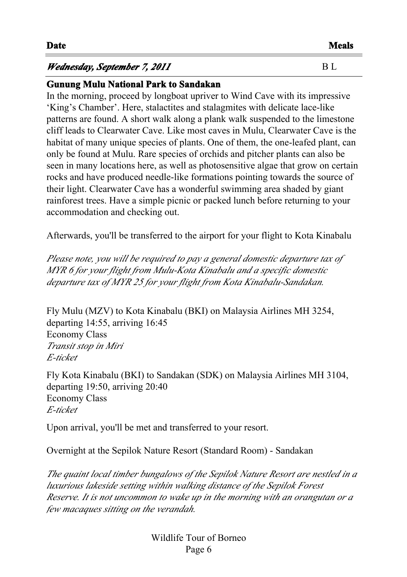#### **Date Meals**

#### *Wednesday, September 7, 2011* B L

#### **Gunung Mulu National Park to Sandakan**

In the morning, proceed by longboat upriver to Wind Cave with its impressive 'King's Chamber'. Here, stalactites and stalagmites with delicate lace-like patterns are found. A short walk along a plank walk suspended to the limestone cliff leads to Clearwater Cave. Like most caves in Mulu, Clearwater Cave is the habitat of many unique species of plants. One of them, the one-leafed plant, can only be found at Mulu. Rare species of orchids and pitcher plants can also be seen in many locations here, as well as photosensitive algae that grow on certain rocks and have produced needle-like formations pointing towards the source of their light. Clearwater Cave has a wonderful swimming area shaded by giant rainforest trees. Have a simple picnic or packed lunch before returning to your accommodation and checking out.

Afterwards, you'll be transferred to the airport for your flight to Kota Kinabalu

*Please note, you will be required to pay a general domestic departure tax of MYR 6 for your flight from Mulu-Kota Kinabalu and a specific domestic departure tax of MYR 25 for your flight from Kota Kinabalu-Sandakan.*

Fly Mulu (MZV) to Kota Kinabalu (BKI) on Malaysia Airlines MH 3254, departing 14:55, arriving 16:45 Economy Class *Transit stop in Miri E-ticket*

Fly Kota Kinabalu (BKI) to Sandakan (SDK) on Malaysia Airlines MH 3104, departing 19:50, arriving 20:40 Economy Class *E-ticket*

Upon arrival, you'll be met and transferred to your resort.

Overnight at the Sepilok Nature Resort (Standard Room) - Sandakan

*The quaint local timber bungalows of the Sepilok Nature Resort are nestled in a luxurious lakeside setting within walking distance of the Sepilok Forest Reserve. It is not uncommon to wake up in the morning with an orangutan or a few macaques sitting on the verandah.*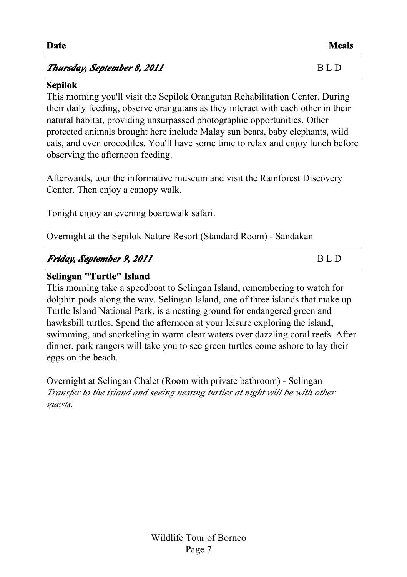#### *Thursday, September 8, 2011* B L D

#### **Sepilok**

This morning you'll visit the Sepilok Orangutan Rehabilitation Center. During their daily feeding, observe orangutans as they interact with each other in their natural habitat, providing unsurpassed photographic opportunities. Other protected animals brought here include Malay sun bears, baby elephants, wild cats, and even crocodiles. You'll have some time to relax and enjoy lunch before observing the afternoon feeding.

Afterwards, tour the informative museum and visit the Rainforest Discovery Center. Then enjoy a canopy walk.

Tonight enjoy an evening boardwalk safari.

Overnight at the Sepilok Nature Resort (Standard Room) - Sandakan

### *Friday, September 9, 2011* B L D

#### **Selingan "Turtle" Island**

This morning take a speedboat to Selingan Island, remembering to watch for dolphin pods along the way. Selingan Island, one of three islands that make up Turtle Island National Park, is a nesting ground for endangered green and hawksbill turtles. Spend the afternoon at your leisure exploring the island, swimming, and snorkeling in warm clear waters over dazzling coral reefs. After dinner, park rangers will take you to see green turtles come ashore to lay their eggs on the beach.

Overnight at Selingan Chalet (Room with private bathroom) - Selingan *Transfer to the island and seeing nesting turtles at night will be with other guests.<<>>*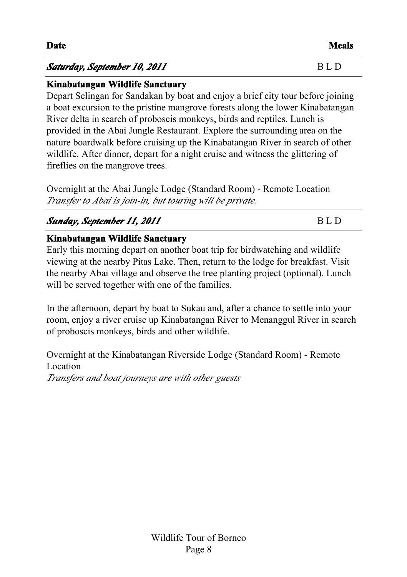#### **Saturday, September 10, 2011** B L D

#### **Kinabatangan Wildlife Sanctuary**

Depart Selingan for Sandakan by boat and enjoy a brief city tour before joining a boat excursion to the pristine mangrove forests along the lower Kinabatangan River delta in search of proboscis monkeys, birds and reptiles. Lunch is provided in the Abai Jungle Restaurant. Explore the surrounding area on the nature boardwalk before cruising up the Kinabatangan River in search of other wildlife. After dinner, depart for a night cruise and witness the glittering of fireflies on the mangrove trees.

Overnight at the Abai Jungle Lodge (Standard Room) - Remote Location Transfer to Abai is join-in, but touring will be private.

### *Sunday, September 11, 2011* B L D

#### **Kinabatangan Wildlife Sanctuary**

Early this morning depart on another boat trip for birdwatching and wildlife viewing at the nearby Pitas Lake. Then, return to the lodge for breakfast. Visit the nearby Abai village and observe the tree planting project (optional). Lunch will be served together with one of the families.

In the afternoon, depart by boat to Sukau and, after a chance to settle into your room, enjoy a river cruise up Kinabatangan River to Menanggul River in search of proboscis monkeys, birds and other wildlife.

Overnight at the Kinabatangan Riverside Lodge (Standard Room) - Remote Location *Transfers and boat journeys are with other guests <<>>*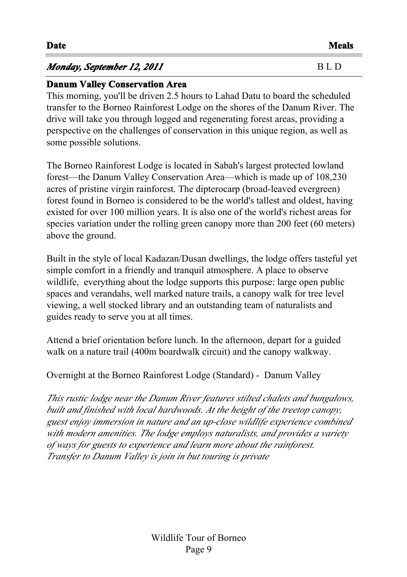# *Monday, September 12, 2011* BLD

# **Danum Valley Conservation Area**

This morning, you'll be driven 2.5 hours to Lahad Datu to board the scheduled transfer to the Borneo Rainforest Lodge on the shores of the Danum River. The drive will take you through logged and regenerating forest areas, providing a perspective on the challenges of conservation in this unique region, as well as some possible solutions.

The Borneo Rainforest Lodge is located in Sabah's largest protected lowland forest—the Danum Valley Conservation Area—which is made up of 108,230 acres of pristine virgin rainforest. The dipterocarp (broad-leaved evergreen) forest found in Borneo is considered to be the world's tallest and oldest, having existed for over 100 million years. It is also one of the world's richest areas for species variation under the rolling green canopy more than 200 feet (60 meters) above the ground.

Built in the style of local Kadazan/Dusan dwellings, the lodge offers tasteful yet simple comfort in a friendly and tranquil atmosphere. A place to observe wildlife, everything about the lodge supports this purpose: large open public spaces and verandahs, well marked nature trails, a canopy walk for tree level viewing, a well stocked library and an outstanding team of naturalists and guides ready to serve you at all times.

Attend a brief orientation before lunch. In the afternoon, depart for a guided walk on a nature trail (400m boardwalk circuit) and the canopy walkway.

Overnight at the Borneo Rainforest Lodge (Standard) - Danum Valley

*This rustic lodge near the Danum River features stilted chalets and bungalows, built and finished with local hardwoods. At the height of the treetop canopy, guest enjoy immersion in nature and an up-close wildlife experience combined with modern amenities. The lodge employs naturalists, and provides a variety of ways for guests to experience and learn more about the rainforest. Transfer to Danum Valley is join in but touring is private<<>>*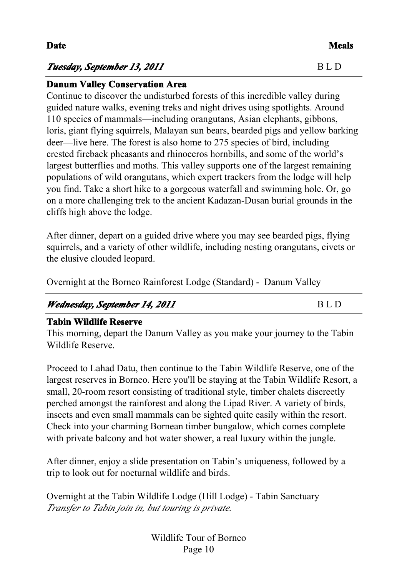#### **Tuesday, September 13, 2011** B L D

#### **Danum Valley Conservation Area**

Continue to discover the undisturbed forests of this incredible valley during guided nature walks, evening treks and night drives using spotlights. Around 110 species of mammals—including orangutans, Asian elephants, gibbons, loris, giant flying squirrels, Malayan sun bears, bearded pigs and yellow barking deer—live here. The forest is also home to 275 species of bird, including crested fireback pheasants and rhinoceros hornbills, and some of the world's largest butterflies and moths. This valley supports one of the largest remaining populations of wild orangutans, which expert trackers from the lodge will help you find. Take a short hike to a gorgeous waterfall and swimming hole. Or, go on a more challenging trek to the ancient Kadazan-Dusan burial grounds in the cliffs high above the lodge.

After dinner, depart on a guided drive where you may see bearded pigs, flying squirrels, and a variety of other wildlife, including nesting orangutans, civets or the elusive clouded leopard.

Overnight at the Borneo Rainforest Lodge (Standard) - Danum Valley

# *Wednesday, September 14, 2011* BLD

# **Tabin Wildlife Reserve**

This morning, depart the Danum Valley as you make your journey to the Tabin Wildlife Reserve.

Proceed to Lahad Datu, then continue to the Tabin Wildlife Reserve, one of the largest reserves in Borneo. Here you'll be staying at the Tabin Wildlife Resort, a small, 20-room resort consisting of traditional style, timber chalets discreetly perched amongst the rainforest and along the Lipad River. A variety of birds, insects and even small mammals can be sighted quite easily within the resort. Check into your charming Bornean timber bungalow, which comes complete with private balcony and hot water shower, a real luxury within the jungle.

After dinner, enjoy a slide presentation on Tabin's uniqueness, followed by a trip to look out for nocturnal wildlife and birds.

Overnight at the Tabin Wildlife Lodge (Hill Lodge) - Tabin Sanctuary *Transfer to Tabin join in, but touring is private.<<>>*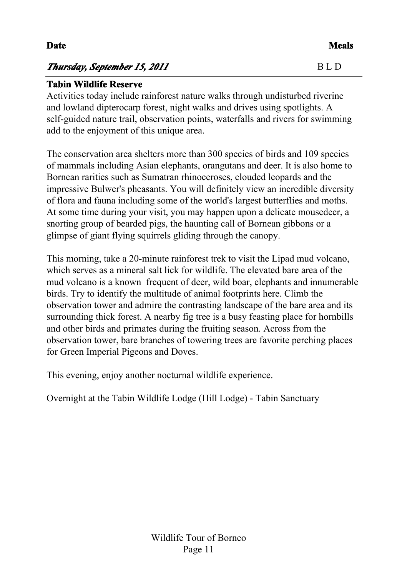| Thursday, September 15, 2011 | B L D |  |
|------------------------------|-------|--|
|                              |       |  |

#### **Tabin Wildlife Reserve**

Activities today include rainforest nature walks through undisturbed riverine and lowland dipterocarp forest, night walks and drives using spotlights. A self-guided nature trail, observation points, waterfalls and rivers for swimming add to the enjoyment of this unique area.

The conservation area shelters more than 300 species of birds and 109 species of mammals including Asian elephants, orangutans and deer. It is also home to Bornean rarities such as Sumatran rhinoceroses, clouded leopards and the impressive Bulwer's pheasants. You will definitely view an incredible diversity of flora and fauna including some of the world's largest butterflies and moths. At some time during your visit, you may happen upon a delicate mousedeer, a snorting group of bearded pigs, the haunting call of Bornean gibbons or a glimpse of giant flying squirrels gliding through the canopy.

This morning, take a 20-minute rainforest trek to visit the Lipad mud volcano, which serves as a mineral salt lick for wildlife. The elevated bare area of the mud volcano is a known frequent of deer, wild boar, elephants and innumerable birds. Try to identify the multitude of animal footprints here. Climb the observation tower and admire the contrasting landscape of the bare area and its surrounding thick forest. A nearby fig tree is a busy feasting place for hornbills and other birds and primates during the fruiting season. Across from the observation tower, bare branches of towering trees are favorite perching places for Green Imperial Pigeons and Doves.

This evening, enjoy another nocturnal wildlife experience.

Overnight at the Tabin Wildlife Lodge (Hill Lodge) - Tabin Sanctuary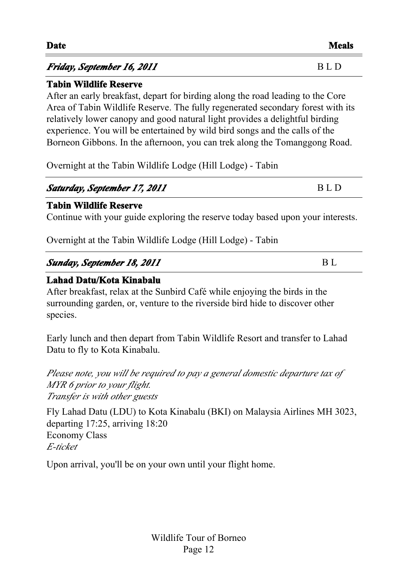| <b>Date</b>                | Meals |
|----------------------------|-------|
| Friday, September 16, 2011 | BLD   |

#### **Tabin Wildlife Reserve**

After an early breakfast, depart for birding along the road leading to the Core Area of Tabin Wildlife Reserve. The fully regenerated secondary forest with its relatively lower canopy and good natural light provides a delightful birding experience. You will be entertained by wild bird songs and the calls of the Borneon Gibbons. In the afternoon, you can trek along the Tomanggong Road.

Overnight at the Tabin Wildlife Lodge (Hill Lodge) - Tabin

| Saturday, September 17, 2011 | BLD |
|------------------------------|-----|
|                              |     |

#### **Tabin Wildlife Reserve**

Continue with your guide exploring the reserve today based upon your interests.

Overnight at the Tabin Wildlife Lodge (Hill Lodge) - Tabin

### **Sunday, September 18, 2011** BL

#### **Lahad Datu/Kota Kinabalu**

After breakfast, relax at the Sunbird Café while enjoying the birds in the surrounding garden, or, venture to the riverside bird hide to discover other species.

Early lunch and then depart from Tabin Wildlife Resort and transfer to Lahad Datu to fly to Kota Kinabalu.

*Please note, you will be required to pay a general domestic departure tax of MYR 6 prior to your flight. Transfer is with other guests <<>>*

Fly Lahad Datu (LDU) to Kota Kinabalu (BKI) on Malaysia Airlines MH 3023, departing 17:25, arriving 18:20 Economy Class *E-ticket*

Upon arrival, you'll be on your own until your flight home.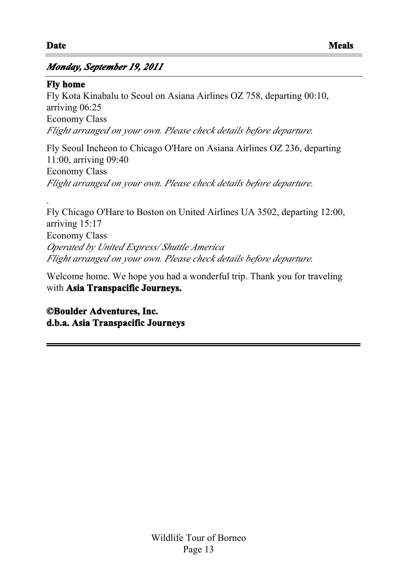.

#### *Monday, September 19, 2011*

#### **Fly home**

Fly Kota Kinabalu to Seoul on Asiana Airlines OZ 758, departing 00:10, arriving 06:25 Economy Class *Flight arranged on your own. Please check details before departure.*

Fly Seoul Incheon to Chicago O'Hare on Asiana Airlines OZ 236, departing 11:00, arriving 09:40 Economy Class *Flight arranged on your own. Please check details before departure.*

Fly Chicago O'Hare to Boston on United Airlines UA 3502, departing 12:00, arriving 15:17 Economy Class *Operated by United Express/ Shuttle America Flight arranged on your own. Please check details before departure.*

Welcome home. We hope you had a wonderful trip. Thank you for traveling with **Asia Transpacific Journeys.**

**©Boulder Adventures, Inc. d.b.a. Asia Transpacific Journeys**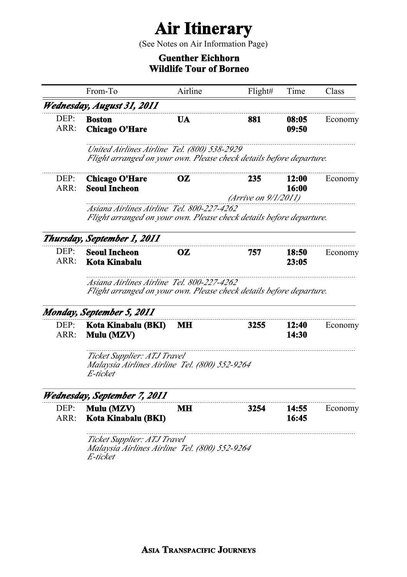# **Air Itinerary**

(See Notes on Air Information Page)

#### **Guenther Eichhorn Wildlife Tour of Borneo**

|              | From-To                                                                                                            | Airline                                                             | Flight#              | Time           | Class   |
|--------------|--------------------------------------------------------------------------------------------------------------------|---------------------------------------------------------------------|----------------------|----------------|---------|
|              | Wednesday, August 31, 2011                                                                                         |                                                                     |                      |                |         |
| DEP:<br>ARR: | <b>Boston</b><br><b>Chicago O'Hare</b>                                                                             | UA                                                                  | 881                  | 08:05<br>09:50 | Economy |
|              | United Airlines Airline Tel. (800) 538-2929<br>Flight arranged on your own. Please check details before departure. |                                                                     |                      |                |         |
| DEP:<br>ARR: | <b>Chicago O'Hare</b><br><b>Seoul Incheon</b>                                                                      | OZ                                                                  | 235                  | 12:00<br>16:00 | Economy |
|              | Asiana Airlines Airline Tel. 800-227-4262<br>Flight arranged on your own. Please check details before departure.   |                                                                     | (Arrive on 9/1/2011) |                |         |
|              | Thursday, September 1, 2011                                                                                        |                                                                     |                      |                |         |
| DEF:<br>ARR: | <b>Seoul Incheon</b><br>Kota Kinabalu                                                                              | OZ                                                                  | 757                  | 18:50<br>23:05 | Economy |
|              | Asiana Airlines Airline Tel. 800-227-4262                                                                          | Flight arranged on your own. Please check details before departure. |                      |                |         |
|              |                                                                                                                    |                                                                     |                      |                |         |
|              | Monday, September 5, 2011                                                                                          |                                                                     |                      |                |         |
| DEP:<br>ARR: | Kota Kinabalu (BKI)<br>Mulu (MZV)                                                                                  | MН                                                                  | 3255                 | 12:40<br>14:30 |         |
|              | Ticket Supplier: ATJ Travel<br>Malaysia Airlines Airline Tel. (800) 552-9264<br>E-ticket                           |                                                                     |                      |                | Economy |
|              |                                                                                                                    |                                                                     |                      |                |         |
| DEP:<br>ARR: | Wednesday, September 7, 2011<br>Mulu (MZV)<br>Kota Kinabalu (BKI)                                                  | MН                                                                  | 3254                 | 14:55<br>16:45 | Economy |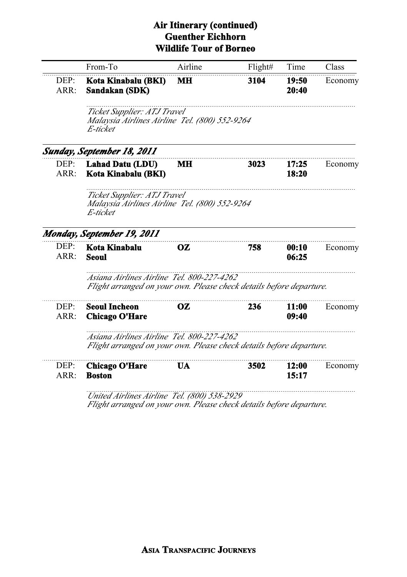#### **Air Itinerary (continued) Guenther Eichhorn Wildlife Tour of Borneo**

|              | From-To                                                                                                          | Airline   | Flight# | Time           | Class   |
|--------------|------------------------------------------------------------------------------------------------------------------|-----------|---------|----------------|---------|
| DEP:<br>ARR: | Kota Kinabalu (BKI)<br>Sandakan (SDK)                                                                            | МH        | 3104    | 19:50<br>20:40 | Economy |
|              | Ticket Supplier: ATJ Travel<br>Malaysia Airlines Airline Tel. (800) 552-9264<br>E-ticket                         |           |         |                |         |
|              | Sunday, September 18, 2011                                                                                       |           |         |                |         |
| DEF:<br>ARR: | <b>Lahad Datu (LDU)</b><br>Kota Kinabalu (BKI)                                                                   | MН        | 3023    | 17:25<br>18:20 | Economy |
|              | Ticket Supplier: ATJ Travel<br>Malaysia Airlines Airline Tel. (800) 552-9264<br>E-ticket                         |           |         |                |         |
|              | Monday, September 19, 2011                                                                                       |           |         |                |         |
| DEF:<br>ARR: | Kota Kinabalu<br>Seoul                                                                                           | <b>OZ</b> | 758     | 00:10<br>06:25 | Economy |
|              | Asiana Airlines Airline Tel. 800-227-4262<br>Flight arranged on your own. Please check details before departure. |           |         |                |         |
| DEF:         | <b>Seoul Incheon</b>                                                                                             | <b>OZ</b> | 236     | 11:00          | Economy |
| ARR:         | <b>Chicago O'Hare</b>                                                                                            |           |         | 09:40          |         |
|              | Asiana Airlines Airline Tel. 800-227-4262<br>Flight arranged on your own. Please check details before departure. |           |         |                |         |
| DEP:         | <b>Chicago O'Hare</b>                                                                                            | UA        | 3502    | 12:00          | Economy |
| ARR:         | <b>Boston</b>                                                                                                    | (0.001)   |         |                | 15:17   |

*United Airlines Airline Tel. (800) 538-2929 Flight arranged on your own. Please check details before departure.*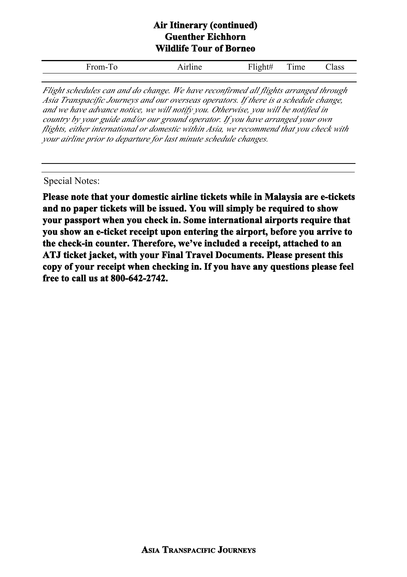#### **Air Itinerary (continued) Guenther Eichhorn Wildlife Tour of Borneo**

*Flight schedules can and do change. We have reconfirmed all flights arranged through Asia Transpacific Journeys and our overseas operators. If there is a schedule change, and we have advance notice, we will notify you. Otherwise, you will be notified in country by your guide and/or our ground operator. If you have arranged your own flights, either international or domestic within Asia, we recommend that you check with your airline prior to departure for last minute schedule changes.*

#### Special Notes:

**Please note that your domestic airline tickets while in Malaysia are e-tickets and no paper tickets will be issued. You will simply be required to show your passport when you check in. Some international airports require that you show an e-ticket receipt upon entering the airport, before you arrive to the check-in counter. Therefore, we've included a receipt, attached to an ATJ ticket jacket, with your Final Travel Documents. Please present this copy of your receipt when checking in. If you have any questions please feel free to call us at 800-642-2742.**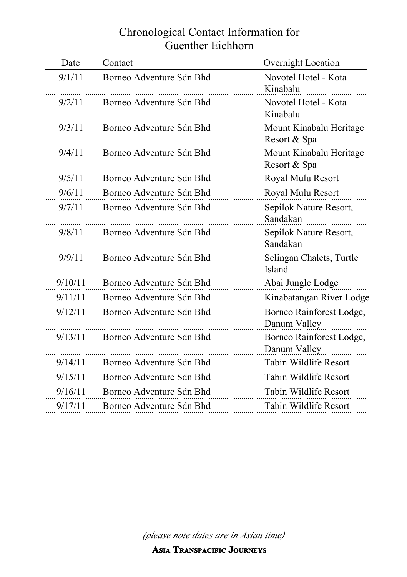# Chronological Contact Information for Guenther Eichhorn

| Date    | Contact                  | Overnight Location                       |
|---------|--------------------------|------------------------------------------|
| 9/1/11  | Borneo Adventure Sdn Bhd | Novotel Hotel - Kota<br>Kinabalu         |
| 9/2/11  | Borneo Adventure Sdn Bhd | Novotel Hotel - Kota<br>Kinabalu         |
| 9/3/11  | Borneo Adventure Sdn Bhd | Mount Kinabalu Heritage<br>Resort & Spa  |
| 9/4/11  | Borneo Adventure Sdn Bhd | Mount Kinabalu Heritage<br>Resort & Spa  |
| 9/5/11  | Borneo Adventure Sdn Bhd | Royal Mulu Resort                        |
| 9/6/11  | Borneo Adventure Sdn Bhd | Royal Mulu Resort                        |
| 9/7/11  | Borneo Adventure Sdn Bhd | Sepilok Nature Resort,<br>Sandakan       |
| 9/8/11  | Borneo Adventure Sdn Bhd | Sepilok Nature Resort,<br>Sandakan       |
| 9/9/11  | Borneo Adventure Sdn Bhd | Selingan Chalets, Turtle<br>Island       |
| 9/10/11 | Borneo Adventure Sdn Bhd | Abai Jungle Lodge                        |
| 9/11/11 | Borneo Adventure Sdn Bhd | Kinabatangan River Lodge                 |
| 9/12/11 | Borneo Adventure Sdn Bhd | Borneo Rainforest Lodge,<br>Danum Valley |
| 9/13/11 | Borneo Adventure Sdn Bhd | Borneo Rainforest Lodge,<br>Danum Valley |
| 9/14/11 | Borneo Adventure Sdn Bhd | Tabin Wildlife Resort                    |
| 9/15/11 | Borneo Adventure Sdn Bhd | Tabin Wildlife Resort                    |
| 9/16/11 | Borneo Adventure Sdn Bhd | Tabin Wildlife Resort                    |
| 9/17/11 | Borneo Adventure Sdn Bhd | Tabin Wildlife Resort                    |
|         |                          |                                          |

*(please note dates are in Asian time)*

**ASIA TRANSPACIFIC JOURNEYS**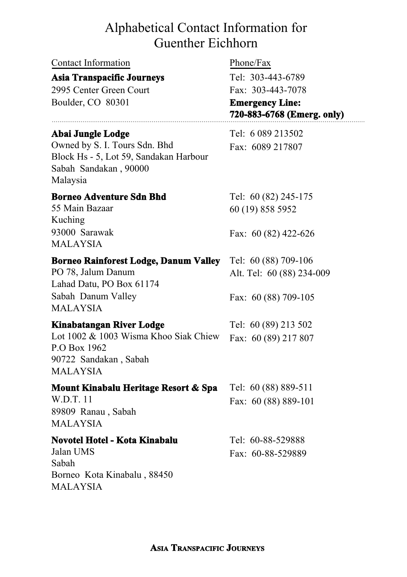| Contact Information |
|---------------------|
|---------------------|

#### **Asia Transpacific Journeys**

2995 Center Green Court Boulder, CO 80301

#### **Abai Jungle Lodge** Tel: 6 089 213502

Owned by S. I. Tours Sdn. Bhd Fax: 6089 217807 Block Hs - 5, Lot 59, Sandakan Harbour Sabah Sandakan , 90000 Malaysia

#### **Borneo Adventure Sdn Bhd** Tel: 60 (82) 245-175

55 Main Bazaar Kuching 93000 Sarawak MALAYSIA

60 (19) 858 5952

Fax: 60 (82) 422-626

#### **Borneo Rainforest Lodge, Danum Valley** Tel: 60 (88) 709-106

PO 78, Jalum Danum Lahad Datu, PO Box 61174 Sabah Danum Valley MALAYSIA

#### **Kinabatangan River Lodge** Tel: 60 (89) 213 502

#### Lot 1002 & 1003 Wisma Khoo Siak Chiew Fax: 60 (89) 217 807

P.O Box 1962 90722 Sandakan , Sabah MALAYSIA

#### **Mount Kinabalu Heritage Resort & Spa** Tel: 60 (88) 889-511

W.D.T. 11 Fax: 60 (88) 889-101 89809 Ranau , Sabah MALAYSIA

#### **Novotel Hotel - Kota Kinabalu** Tel: 60-88-529888

Jalan UMS Fax: 60-88-529889 Sabah Borneo Kota Kinabalu , 88450 MALAYSIA

Phone/Fax

Tel: 303-443-6789 Fax: 303-443-7078

**Emergency Line: 720-883-6768 (Emerg. only)**

Alt. Tel: 60 (88) 234-009

Fax: 60 (88) 709-105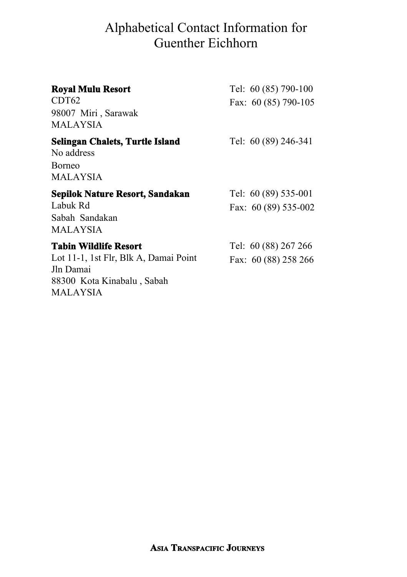| <b>Royal Mulu Resort</b><br>CDT62<br>98007 Miri, Sarawak<br>MALAYSIA                                                  | Tel: 60 (85) 790-100<br>Fax: 60 (85) 790-105  |
|-----------------------------------------------------------------------------------------------------------------------|-----------------------------------------------|
| Selingan Chalets, Turtle Island<br>No address<br><b>Borneo</b><br>MALAYSIA                                            | Tel: 60 (89) 246-341                          |
| Sepilok Nature Resort, Sandakan<br>Labuk Rd<br>Sabah Sandakan<br>MALAYSIA                                             | Tel: $60(89)$ 535-001<br>Fax: 60 (89) 535-002 |
| Tabin Wildlife Resort<br>Lot 11-1, 1st Flr, Blk A, Damai Point<br>Jln Damai<br>88300 Kota Kinabalu, Sabah<br>MALAYSIA | Tel: 60 (88) 267 266<br>Fax: 60 (88) 258 266  |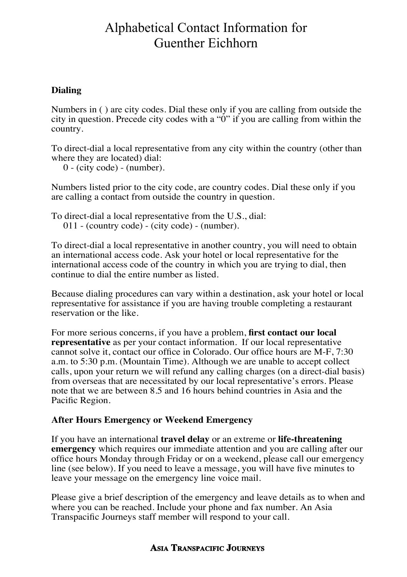#### **Dialing**

Numbers in ( ) are city codes. Dial these only if you are calling from outside the city in question. Precede city codes with a "0" if you are calling from within the country.

To direct-dial a local representative from any city within the country (other than where they are located) dial:

 $0 - (city code) - (number).$ 

Numbers listed prior to the city code, are country codes. Dial these only if you are calling a contact from outside the country in question.

To direct-dial a local representative from the U.S., dial: 011 - (country code) - (city code) - (number).

To direct-dial a local representative in another country, you will need to obtain an international access code. Ask your hotel or local representative for the international access code of the country in which you are trying to dial, then continue to dial the entire number as listed.

Because dialing procedures can vary within a destination, ask your hotel or local representative for assistance if you are having trouble completing a restaurant reservation or the like.

For more serious concerns, if you have a problem, **first contact our local representative** as per your contact information. If our local representative cannot solve it, contact our office in Colorado. Our office hours are M-F, 7:30 a.m. to 5:30 p.m. (Mountain Time). Although we are unable to accept collect calls, upon your return we will refund any calling charges (on a direct-dial basis) from overseas that are necessitated by our local representative's errors. Please note that we are between 8.5 and 16 hours behind countries in Asia and the Pacific Region.

#### **After Hours Emergency or Weekend Emergency**

If you have an international **travel delay** or an extreme or **life-threatening emergency** which requires our immediate attention and you are calling after our office hours Monday through Friday or on a weekend, please call our emergency line (see below). If you need to leave a message, you will have five minutes to leave your message on the emergency line voice mail.

Please give a brief description of the emergency and leave details as to when and where you can be reached. Include your phone and fax number. An Asia Transpacific Journeys staff member will respond to your call.

#### **ASIA TRANSPACIFIC JOURNEYS**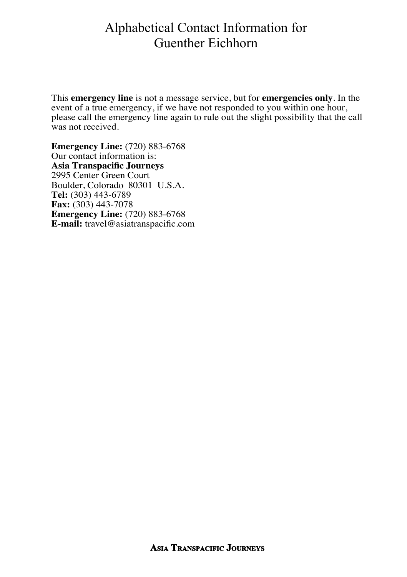This **emergency line** is not a message service, but for **emergencies only**. In the event of a true emergency, if we have not responded to you within one hour, please call the emergency line again to rule out the slight possibility that the call was not received.

**Emergency Line:** (720) 883-6768 Our contact information is: **Asia Transpacific Journeys** 2995 Center Green Court Boulder, Colorado 80301 U.S.A. **Tel:** (303) 443-6789 **Fax:** (303) 443-7078 **Emergency Line:** (720) 883-6768 **E-mail:** travel@asiatranspacific.com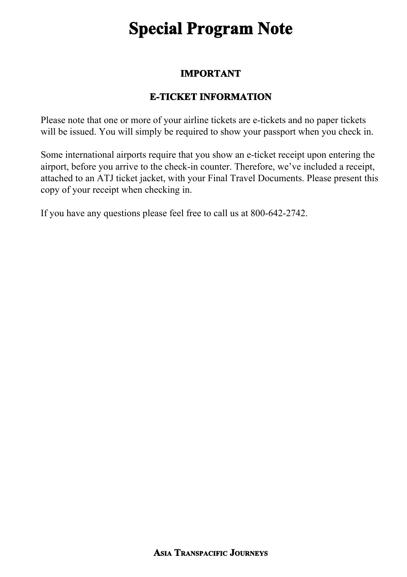# **Special Program Note**

#### **IMPORTANT**

# **E-TICKET INFORMATION**

Please note that one or more of your airline tickets are e-tickets and no paper tickets will be issued. You will simply be required to show your passport when you check in.

Some international airports require that you show an e-ticket receipt upon entering the airport, before you arrive to the check-in counter. Therefore, we've included a receipt, attached to an ATJ ticket jacket, with your Final Travel Documents. Please present this copy of your receipt when checking in.

If you have any questions please feel free to call us at 800-642-2742.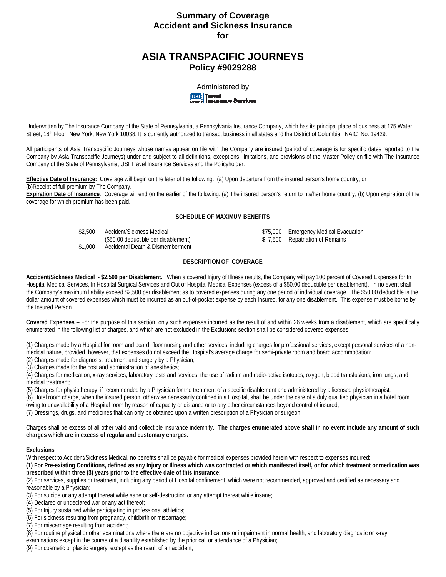# **Summary of Coverage Accident and Sickness Insurance for**

# **ASIA TRANSPACIFIC JOURNEYS Policy #9029288**

Administered by<br>**USI Travel**<br>Insurance Servicer

Underwritten by The Insurance Company of the State of Pennsylvania, a Pennsylvania Insurance Company, which has its principal place of business at 175 Water Street, 18th Floor, New York, New York 10038. It is currently authorized to transact business in all states and the District of Columbia. NAIC No. 19429.

All participants of Asia Transpacific Journeys whose names appear on file with the Company are insured (period of coverage is for specific dates reported to the Company by Asia Transpacific Journeys) under and subject to all definitions, exceptions, limitations, and provisions of the Master Policy on file with The Insurance Company of the State of Pennsylvania, USI Travel Insurance Services and the Policyholder.

**Effective Date of Insurance:** Coverage will begin on the later of the following: (a) Upon departure from the insured person's home country; or (b)Receipt of full premium by The Company.

**Expiration Date of Insurance**: Coverage will end on the earlier of the following: (a) The insured person's return to his/her home country; (b) Upon expiration of the coverage for which premium has been paid.

#### **SCHEDULE OF MAXIMUM BENEFITS**

\$2,500 Accident/Sickness Medical  $$75,000$  Emergency Medical Evacuation

(\$50.00 deductible per disablement) \$ 7,500 Repatriation of Remains

\$1,000 Accidental Death & Dismemberment

### **DESCRIPTION OF COVERAGE**

**Accident/Sickness Medical - \$2,500 per Disablement.** When a covered Injury of Illness results, the Company will pay 100 percent of Covered Expenses for In Hospital Medical Services, In Hospital Surgical Services and Out of Hospital Medical Expenses (excess of a \$50.00 deductible per disablement). In no event shall the Company's maximum liability exceed \$2,500 per disablement as to covered expenses during any one period of individual coverage. The \$50.00 deductible is the dollar amount of covered expenses which must be incurred as an out-of-pocket expense by each Insured, for any one disablement. This expense must be borne by the Insured Person.

**Covered Expenses** – For the purpose of this section, only such expenses incurred as the result of and within 26 weeks from a disablement, which are specifically enumerated in the following list of charges, and which are not excluded in the Exclusions section shall be considered covered expenses:

(1) Charges made by a Hospital for room and board, floor nursing and other services, including charges for professional services, except personal services of a nonmedical nature, provided, however, that expenses do not exceed the Hospital's average charge for semi-private room and board accommodation;

(2) Charges made for diagnosis, treatment and surgery by a Physician;

(3) Charges made for the cost and administration of anesthetics;

(4) Charges for medication, x-ray services, laboratory tests and services, the use of radium and radio-active isotopes, oxygen, blood transfusions, iron lungs, and medical treatment;

(5) Charges for physiotherapy, if recommended by a Physician for the treatment of a specific disablement and administered by a licensed physiotherapist; (6) Hotel room charge, when the insured person, otherwise necessarily confined in a Hospital, shall be under the care of a duly qualified physician in a hotel room owing to unavailability of a Hospital room by reason of capacity or distance or to any other circumstances beyond control of insured;

(7) Dressings, drugs, and medicines that can only be obtained upon a written prescription of a Physician or surgeon.

Charges shall be excess of all other valid and collectible insurance indemnity. **The charges enumerated above shall in no event include any amount of such charges which are in excess of regular and customary charges.** 

#### **Exclusions**

With respect to Accident/Sickness Medical, no benefits shall be payable for medical expenses provided herein with respect to expenses incurred: **(1) For Pre-existing Conditions, defined as any Injury or Illness which was contracted or which manifested itself, or for which treatment or medication was** 

#### **prescribed within three (3) years prior to the effective date of this insurance;**  (2) For services, supplies or treatment, including any period of Hospital confinement, which were not recommended, approved and certified as necessary and

reasonable by a Physician;

(3) For suicide or any attempt thereat while sane or self-destruction or any attempt thereat while insane;

(4) Declared or undeclared war or any act thereof;

(5) For Injury sustained while participating in professional athletics;

(6) For sickness resulting from pregnancy, childbirth or miscarriage;

(7) For miscarriage resulting from accident;

(8) For routine physical or other examinations where there are no objective indications or impairment in normal health, and laboratory diagnostic or x-ray examinations except in the course of a disability established by the prior call or attendance of a Physician;

(9) For cosmetic or plastic surgery, except as the result of an accident;